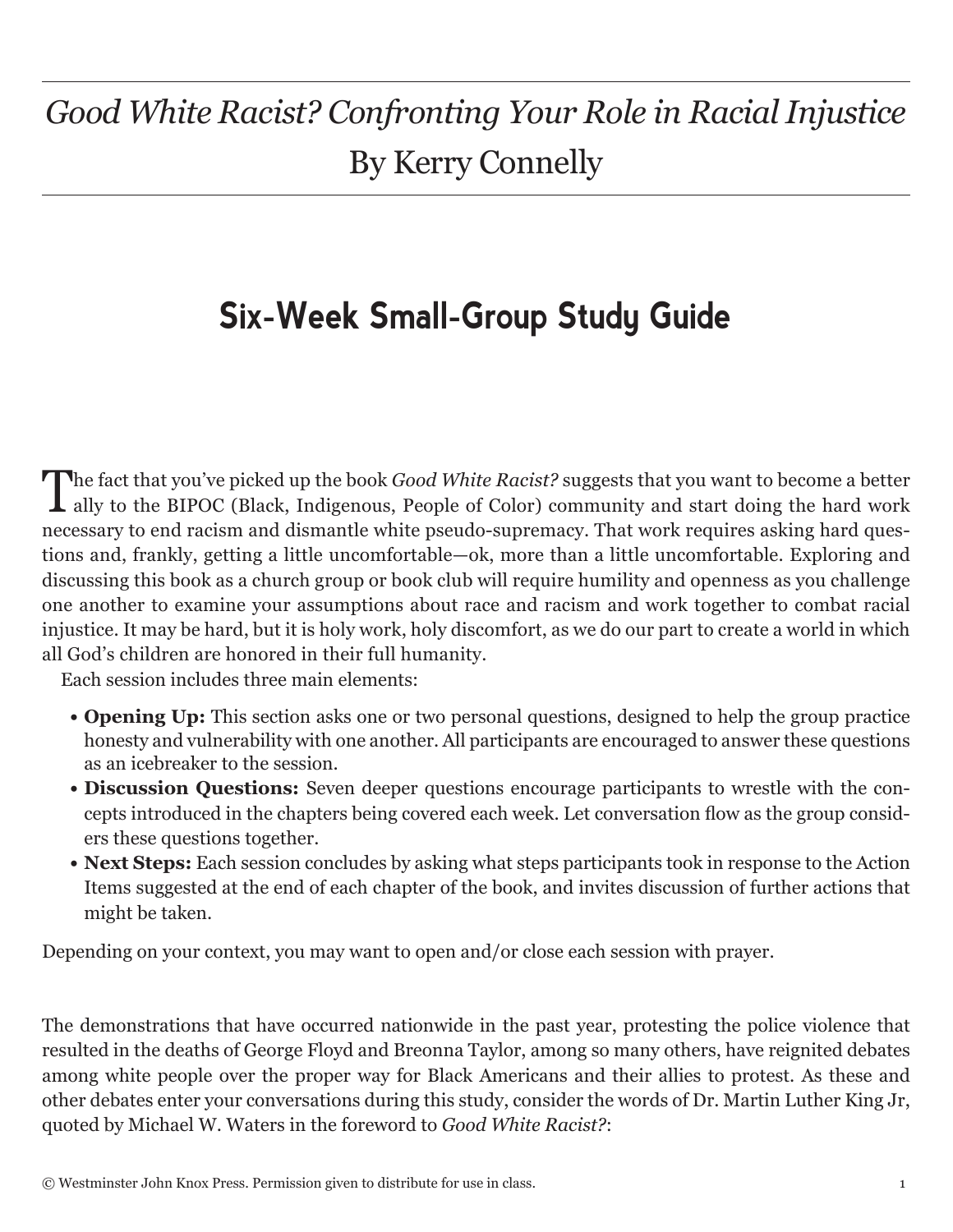# *Good White Racist? Confronting Your Role in Racial Injustice* By Kerry Connelly

# **Six-Week Small-Group Study Guide**

The fact that you've picked up the book *Good White Racist?* suggests that you want to become a better ally to the BIPOC (Black, Indigenous, People of Color) community and start doing the hard work necessary to end racism and dismantle white pseudo-supremacy. That work requires asking hard questions and, frankly, getting a little uncomfortable—ok, more than a little uncomfortable. Exploring and discussing this book as a church group or book club will require humility and openness as you challenge one another to examine your assumptions about race and racism and work together to combat racial injustice. It may be hard, but it is holy work, holy discomfort, as we do our part to create a world in which all God's children are honored in their full humanity.

Each session includes three main elements:

- **• Opening Up:** This section asks one or two personal questions, designed to help the group practice honesty and vulnerability with one another. All participants are encouraged to answer these questions as an icebreaker to the session.
- **• Discussion Questions:** Seven deeper questions encourage participants to wrestle with the concepts introduced in the chapters being covered each week. Let conversation flow as the group considers these questions together.
- **• Next Steps:** Each session concludes by asking what steps participants took in response to the Action Items suggested at the end of each chapter of the book, and invites discussion of further actions that might be taken.

Depending on your context, you may want to open and/or close each session with prayer.

The demonstrations that have occurred nationwide in the past year, protesting the police violence that resulted in the deaths of George Floyd and Breonna Taylor, among so many others, have reignited debates among white people over the proper way for Black Americans and their allies to protest. As these and other debates enter your conversations during this study, consider the words of Dr. Martin Luther King Jr, quoted by Michael W. Waters in the foreword to *Good White Racist?*: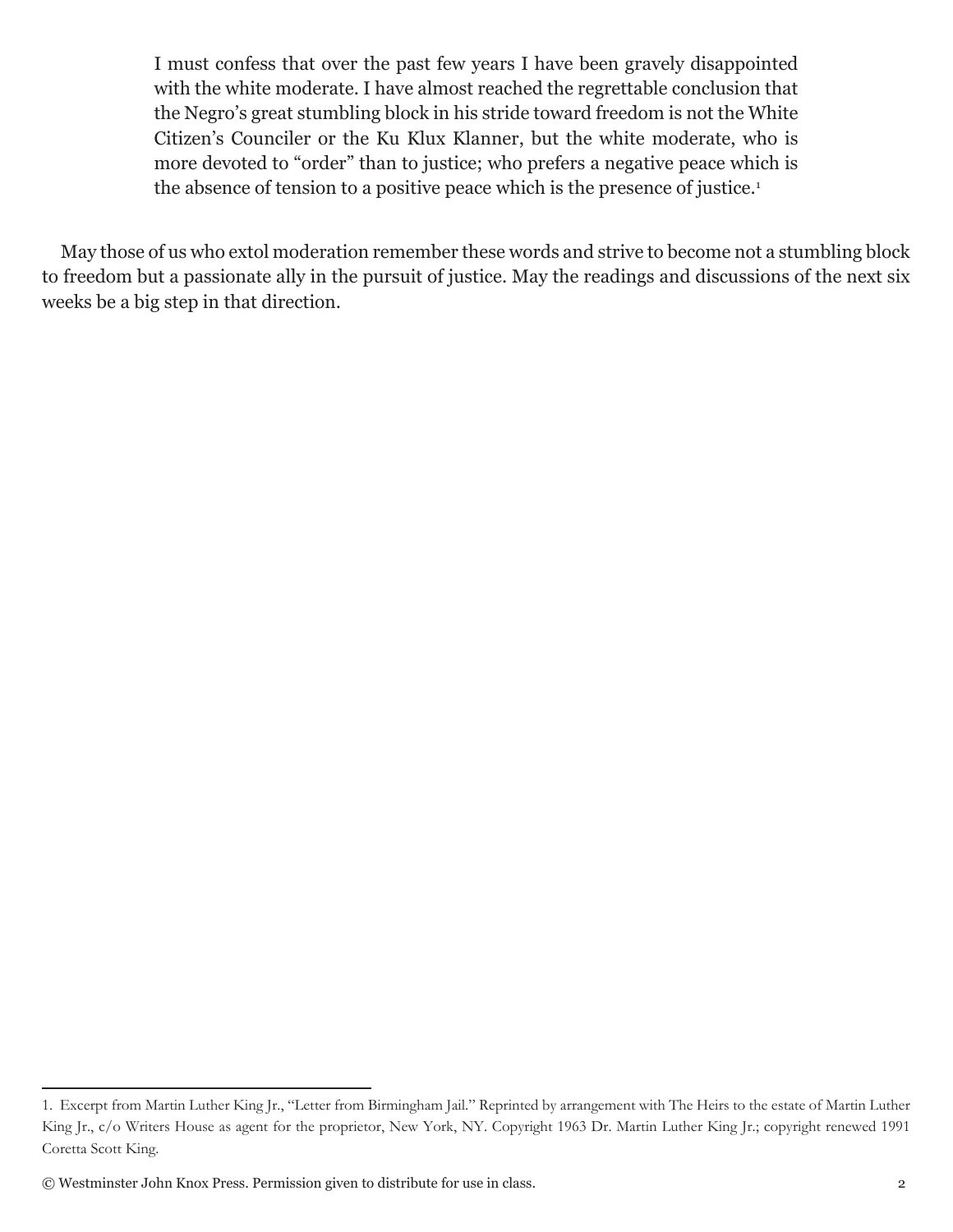I must confess that over the past few years I have been gravely disappointed with the white moderate. I have almost reached the regrettable conclusion that the Negro's great stumbling block in his stride toward freedom is not the White Citizen's Counciler or the Ku Klux Klanner, but the white moderate, who is more devoted to "order" than to justice; who prefers a negative peace which is the absence of tension to a positive peace which is the presence of justice.<sup>1</sup>

May those of us who extol moderation remember these words and strive to become not a stumbling block to freedom but a passionate ally in the pursuit of justice. May the readings and discussions of the next six weeks be a big step in that direction.

<sup>1.</sup> Excerpt from Martin Luther King Jr., "Letter from Birmingham Jail." Reprinted by arrangement with The Heirs to the estate of Martin Luther King Jr., c/o Writers House as agent for the proprietor, New York, NY. Copyright 1963 Dr. Martin Luther King Jr.; copyright renewed 1991 Coretta Scott King.

<sup>©</sup> Westminster John Knox Press. Permission given to distribute for use in class. 2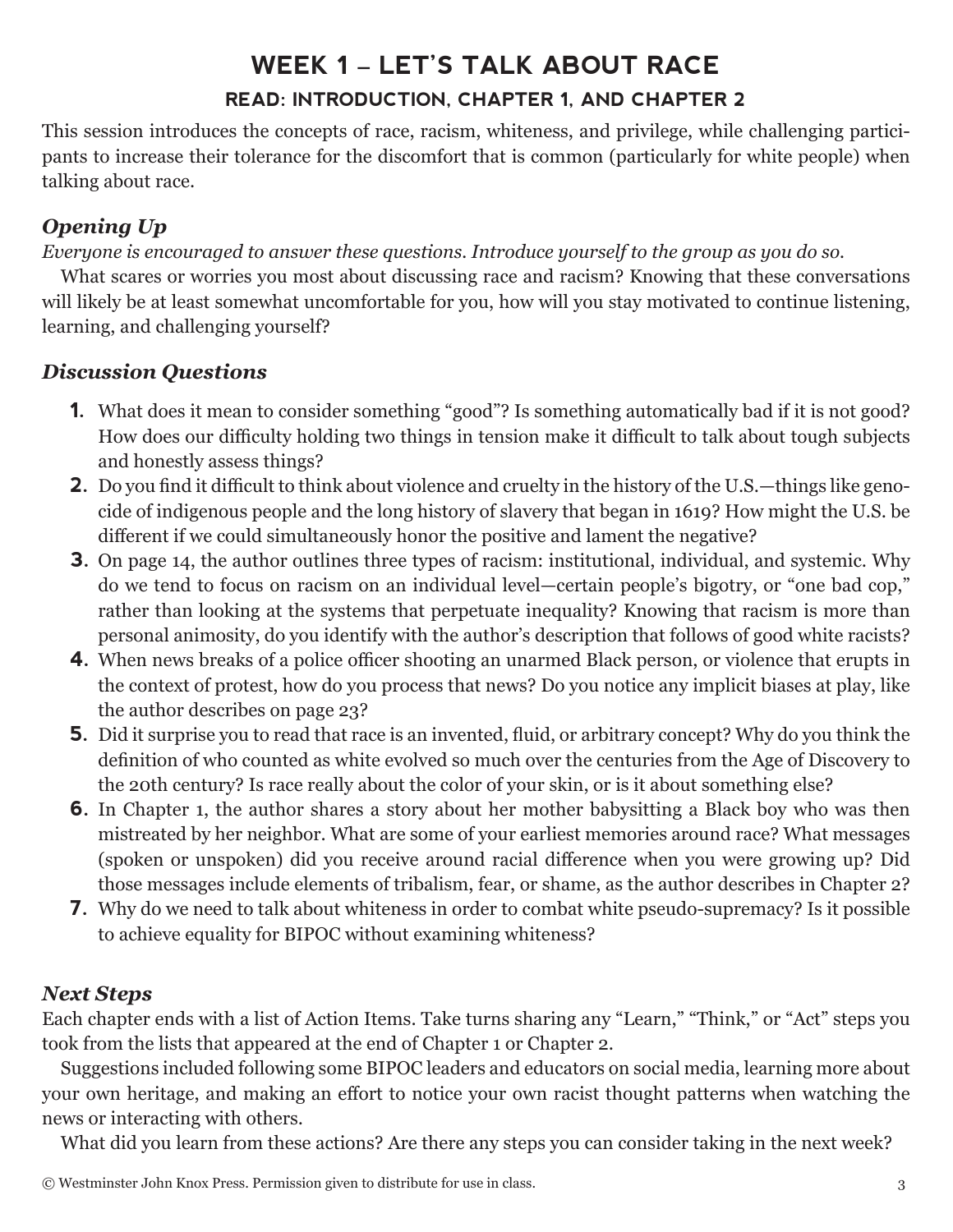# **WEEK 1 – LET'S TALK ABOUT RACE READ: INTRODUCTION, CHAPTER 1, AND CHAPTER 2**

This session introduces the concepts of race, racism, whiteness, and privilege, while challenging participants to increase their tolerance for the discomfort that is common (particularly for white people) when talking about race.

### *Opening Up*

*Everyone is encouraged to answer these questions. Introduce yourself to the group as you do so.*

What scares or worries you most about discussing race and racism? Knowing that these conversations will likely be at least somewhat uncomfortable for you, how will you stay motivated to continue listening, learning, and challenging yourself?

### *Discussion Questions*

- **1.** What does it mean to consider something "good"? Is something automatically bad if it is not good? How does our difficulty holding two things in tension make it difficult to talk about tough subjects and honestly assess things?
- **2.** Do you find it difficult to think about violence and cruelty in the history of the U.S.—things like genocide of indigenous people and the long history of slavery that began in 1619? How might the U.S. be different if we could simultaneously honor the positive and lament the negative?
- **3.** On page 14, the author outlines three types of racism: institutional, individual, and systemic. Why do we tend to focus on racism on an individual level—certain people's bigotry, or "one bad cop," rather than looking at the systems that perpetuate inequality? Knowing that racism is more than personal animosity, do you identify with the author's description that follows of good white racists?
- **4.** When news breaks of a police officer shooting an unarmed Black person, or violence that erupts in the context of protest, how do you process that news? Do you notice any implicit biases at play, like the author describes on page 23?
- **5.** Did it surprise you to read that race is an invented, fluid, or arbitrary concept? Why do you think the definition of who counted as white evolved so much over the centuries from the Age of Discovery to the 20th century? Is race really about the color of your skin, or is it about something else?
- **6.** In Chapter 1, the author shares a story about her mother babysitting a Black boy who was then mistreated by her neighbor. What are some of your earliest memories around race? What messages (spoken or unspoken) did you receive around racial difference when you were growing up? Did those messages include elements of tribalism, fear, or shame, as the author describes in Chapter 2?
- **7.** Why do we need to talk about whiteness in order to combat white pseudo-supremacy? Is it possible to achieve equality for BIPOC without examining whiteness?

### *Next Steps*

Each chapter ends with a list of Action Items. Take turns sharing any "Learn," "Think," or "Act" steps you took from the lists that appeared at the end of Chapter 1 or Chapter 2.

Suggestions included following some BIPOC leaders and educators on social media, learning more about your own heritage, and making an effort to notice your own racist thought patterns when watching the news or interacting with others.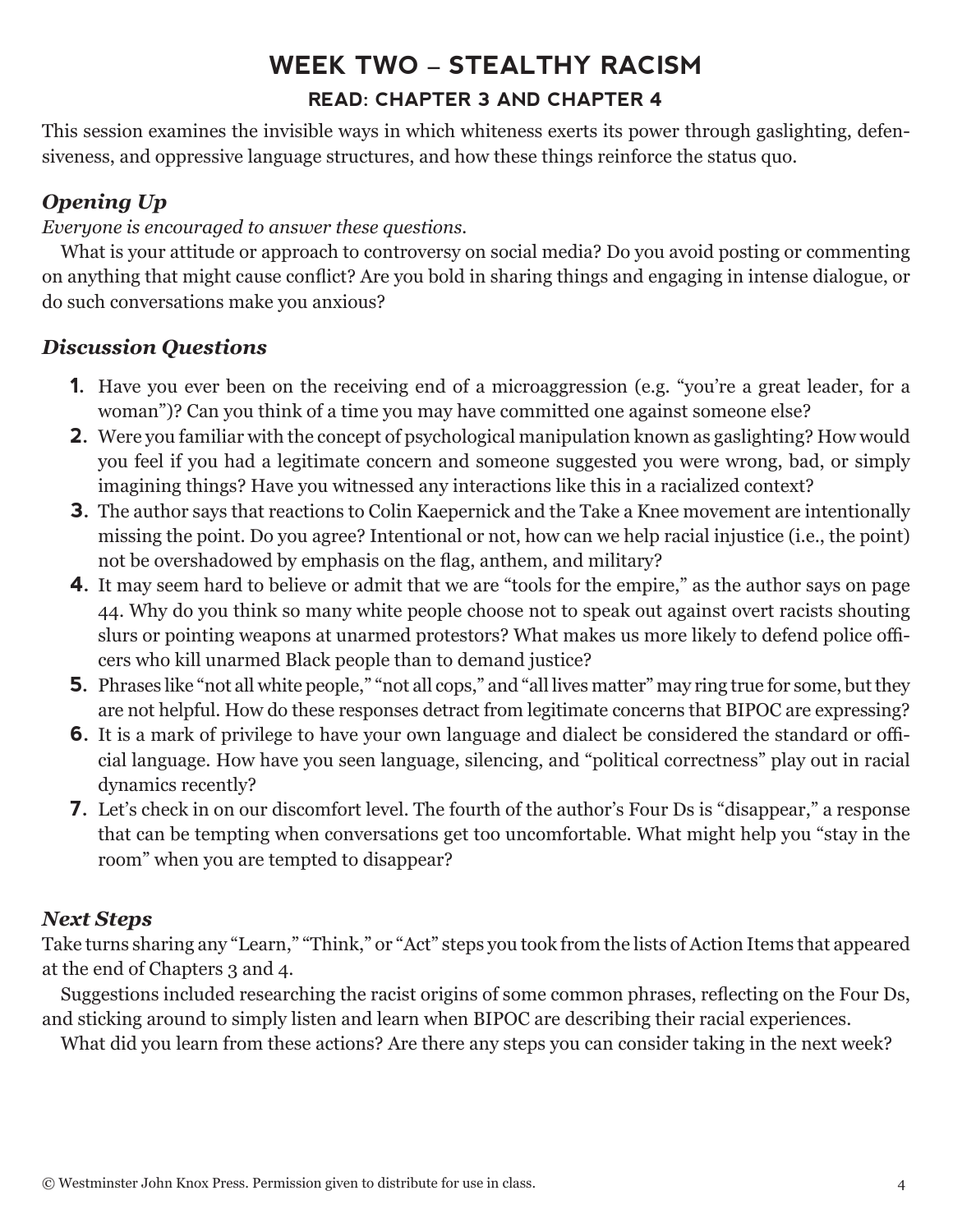# **WEEK TWO – STEALTHY RACISM READ: CHAPTER 3 AND CHAPTER 4**

This session examines the invisible ways in which whiteness exerts its power through gaslighting, defensiveness, and oppressive language structures, and how these things reinforce the status quo.

### *Opening Up*

*Everyone is encouraged to answer these questions.*

What is your attitude or approach to controversy on social media? Do you avoid posting or commenting on anything that might cause conflict? Are you bold in sharing things and engaging in intense dialogue, or do such conversations make you anxious?

### *Discussion Questions*

- **1.** Have you ever been on the receiving end of a microaggression (e.g. "you're a great leader, for a woman")? Can you think of a time you may have committed one against someone else?
- **2.** Were you familiar with the concept of psychological manipulation known as gaslighting? How would you feel if you had a legitimate concern and someone suggested you were wrong, bad, or simply imagining things? Have you witnessed any interactions like this in a racialized context?
- **3.** The author says that reactions to Colin Kaepernick and the Take a Knee movement are intentionally missing the point. Do you agree? Intentional or not, how can we help racial injustice (i.e., the point) not be overshadowed by emphasis on the flag, anthem, and military?
- **4.** It may seem hard to believe or admit that we are "tools for the empire," as the author says on page 44. Why do you think so many white people choose not to speak out against overt racists shouting slurs or pointing weapons at unarmed protestors? What makes us more likely to defend police officers who kill unarmed Black people than to demand justice?
- **5.** Phrases like "not all white people," "not all cops," and "all lives matter" may ring true for some, but they are not helpful. How do these responses detract from legitimate concerns that BIPOC are expressing?
- **6.** It is a mark of privilege to have your own language and dialect be considered the standard or official language. How have you seen language, silencing, and "political correctness" play out in racial dynamics recently?
- **7.** Let's check in on our discomfort level. The fourth of the author's Four Ds is "disappear," a response that can be tempting when conversations get too uncomfortable. What might help you "stay in the room" when you are tempted to disappear?

### *Next Steps*

Take turns sharing any "Learn," "Think," or "Act" steps you took from the lists of Action Items that appeared at the end of Chapters 3 and 4.

Suggestions included researching the racist origins of some common phrases, reflecting on the Four Ds, and sticking around to simply listen and learn when BIPOC are describing their racial experiences.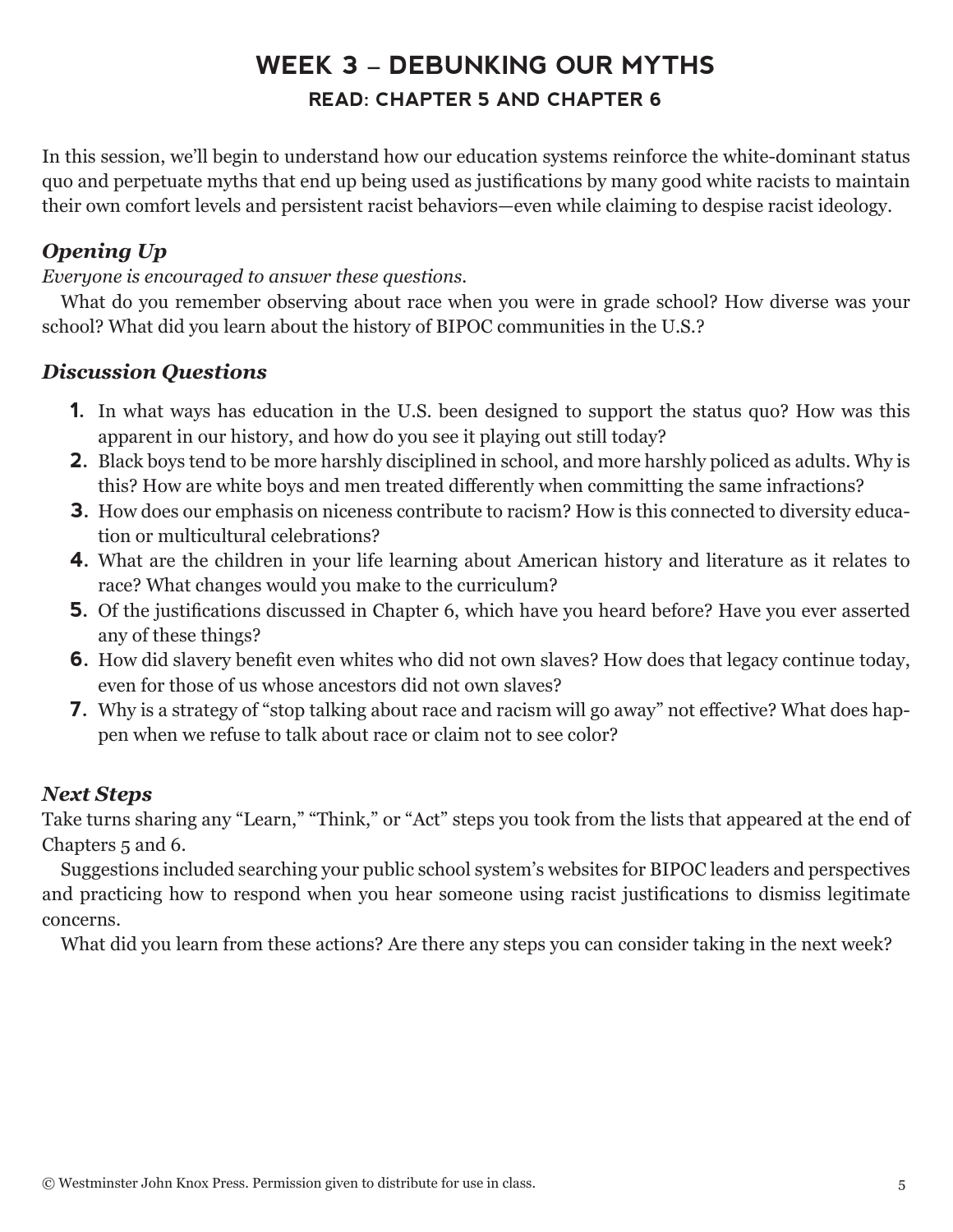# **WEEK 3 – DEBUNKING OUR MYTHS READ: CHAPTER 5 AND CHAPTER 6**

In this session, we'll begin to understand how our education systems reinforce the white-dominant status quo and perpetuate myths that end up being used as justifications by many good white racists to maintain their own comfort levels and persistent racist behaviors—even while claiming to despise racist ideology.

### *Opening Up*

*Everyone is encouraged to answer these questions.*

What do you remember observing about race when you were in grade school? How diverse was your school? What did you learn about the history of BIPOC communities in the U.S.?

#### *Discussion Questions*

- **1.** In what ways has education in the U.S. been designed to support the status quo? How was this apparent in our history, and how do you see it playing out still today?
- **2.** Black boys tend to be more harshly disciplined in school, and more harshly policed as adults. Why is this? How are white boys and men treated differently when committing the same infractions?
- **3.** How does our emphasis on niceness contribute to racism? How is this connected to diversity education or multicultural celebrations?
- **4.** What are the children in your life learning about American history and literature as it relates to race? What changes would you make to the curriculum?
- **5.** Of the justifications discussed in Chapter 6, which have you heard before? Have you ever asserted any of these things?
- **6.** How did slavery benefit even whites who did not own slaves? How does that legacy continue today, even for those of us whose ancestors did not own slaves?
- **7.** Why is a strategy of "stop talking about race and racism will go away" not effective? What does happen when we refuse to talk about race or claim not to see color?

#### *Next Steps*

Take turns sharing any "Learn," "Think," or "Act" steps you took from the lists that appeared at the end of Chapters 5 and 6.

Suggestions included searching your public school system's websites for BIPOC leaders and perspectives and practicing how to respond when you hear someone using racist justifications to dismiss legitimate concerns.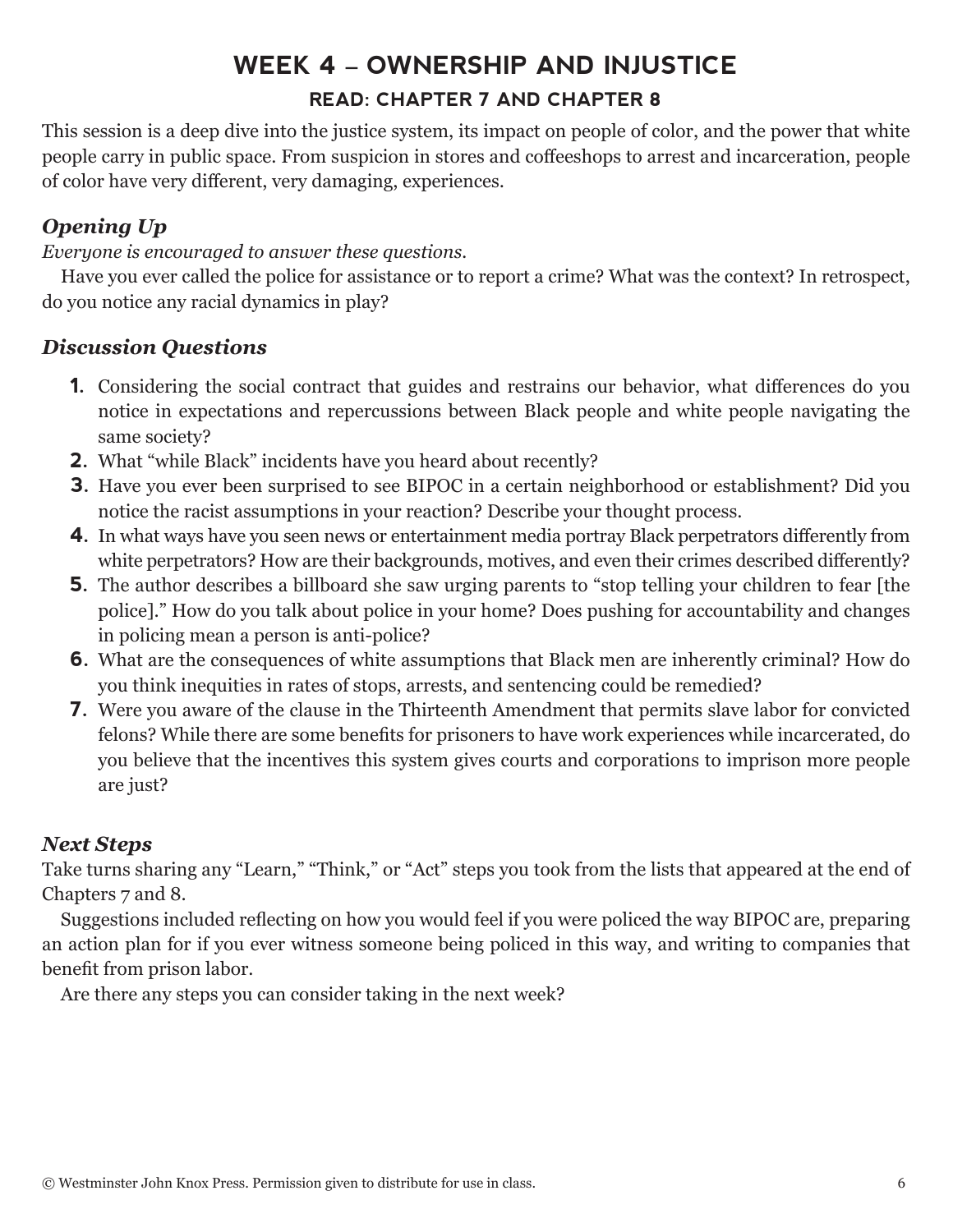# **WEEK 4 – OWNERSHIP AND INJUSTICE READ: CHAPTER 7 AND CHAPTER 8**

This session is a deep dive into the justice system, its impact on people of color, and the power that white people carry in public space. From suspicion in stores and coffeeshops to arrest and incarceration, people of color have very different, very damaging, experiences.

### *Opening Up*

*Everyone is encouraged to answer these questions.*

Have you ever called the police for assistance or to report a crime? What was the context? In retrospect, do you notice any racial dynamics in play?

#### *Discussion Questions*

- **1.** Considering the social contract that guides and restrains our behavior, what differences do you notice in expectations and repercussions between Black people and white people navigating the same society?
- **2.** What "while Black" incidents have you heard about recently?
- **3.** Have you ever been surprised to see BIPOC in a certain neighborhood or establishment? Did you notice the racist assumptions in your reaction? Describe your thought process.
- **4.** In what ways have you seen news or entertainment media portray Black perpetrators differently from white perpetrators? How are their backgrounds, motives, and even their crimes described differently?
- **5.** The author describes a billboard she saw urging parents to "stop telling your children to fear [the police]." How do you talk about police in your home? Does pushing for accountability and changes in policing mean a person is anti-police?
- **6.** What are the consequences of white assumptions that Black men are inherently criminal? How do you think inequities in rates of stops, arrests, and sentencing could be remedied?
- **7.** Were you aware of the clause in the Thirteenth Amendment that permits slave labor for convicted felons? While there are some benefits for prisoners to have work experiences while incarcerated, do you believe that the incentives this system gives courts and corporations to imprison more people are just?

#### *Next Steps*

Take turns sharing any "Learn," "Think," or "Act" steps you took from the lists that appeared at the end of Chapters 7 and 8.

Suggestions included reflecting on how you would feel if you were policed the way BIPOC are, preparing an action plan for if you ever witness someone being policed in this way, and writing to companies that benefit from prison labor.

Are there any steps you can consider taking in the next week?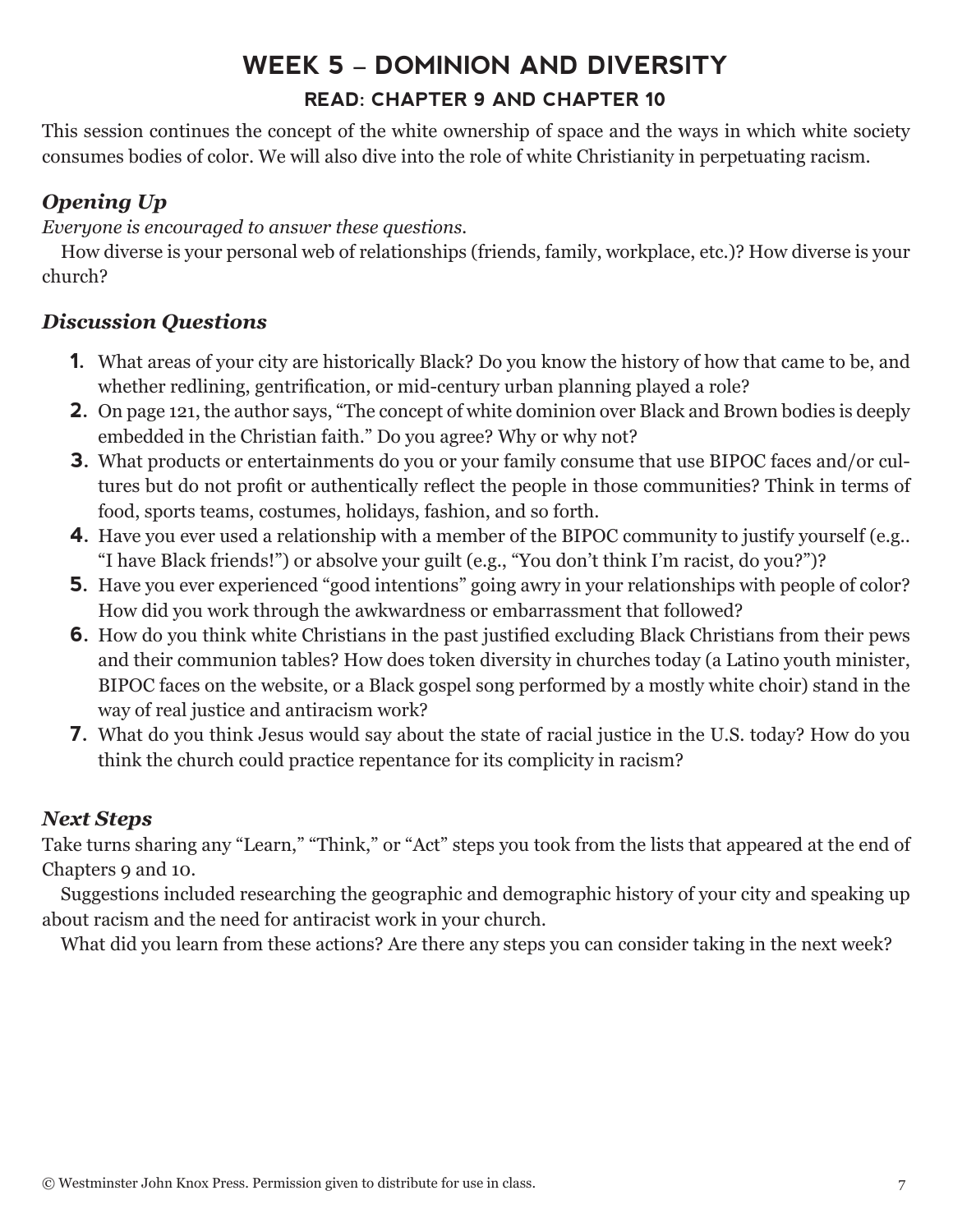# **WEEK 5 – DOMINION AND DIVERSITY READ: CHAPTER 9 AND CHAPTER 10**

This session continues the concept of the white ownership of space and the ways in which white society consumes bodies of color. We will also dive into the role of white Christianity in perpetuating racism.

### *Opening Up*

*Everyone is encouraged to answer these questions.*

How diverse is your personal web of relationships (friends, family, workplace, etc.)? How diverse is your church?

### *Discussion Questions*

- **1.** What areas of your city are historically Black? Do you know the history of how that came to be, and whether redlining, gentrification, or mid-century urban planning played a role?
- **2.** On page 121, the author says, "The concept of white dominion over Black and Brown bodies is deeply embedded in the Christian faith." Do you agree? Why or why not?
- **3.** What products or entertainments do you or your family consume that use BIPOC faces and/or cultures but do not profit or authentically reflect the people in those communities? Think in terms of food, sports teams, costumes, holidays, fashion, and so forth.
- **4.** Have you ever used a relationship with a member of the BIPOC community to justify yourself (e.g.. "I have Black friends!") or absolve your guilt (e.g., "You don't think I'm racist, do you?")?
- **5.** Have you ever experienced "good intentions" going awry in your relationships with people of color? How did you work through the awkwardness or embarrassment that followed?
- **6.** How do you think white Christians in the past justified excluding Black Christians from their pews and their communion tables? How does token diversity in churches today (a Latino youth minister, BIPOC faces on the website, or a Black gospel song performed by a mostly white choir) stand in the way of real justice and antiracism work?
- **7.** What do you think Jesus would say about the state of racial justice in the U.S. today? How do you think the church could practice repentance for its complicity in racism?

### *Next Steps*

Take turns sharing any "Learn," "Think," or "Act" steps you took from the lists that appeared at the end of Chapters 9 and 10.

Suggestions included researching the geographic and demographic history of your city and speaking up about racism and the need for antiracist work in your church.